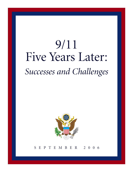# 9/11 Five Years Later: *Successes and Challenges*



SEPTEMBER 2006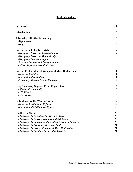# **Table of Contents**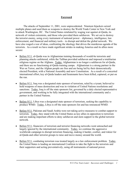#### **Foreword**

 The attacks of September 11, 2001, were unprecedented. Nineteen hijackers seized multiple planes and used them as weapons to destroy the World Trade Center in New York and to attack Washington, DC. The United States retaliated by waging war against al-Qaida, its network of violent extremists, and those who provided them safehaven. We set out to destroy the terrorist enemy, using every instrument of national power – diplomacy, intelligence, law enforcement, and financial and military tools – to disrupt and defeat the global network. We have also waged a war of ideas, confronting the ideology that drives the murderous agenda of the terrorists. As a result we have made significant strides in making America and its allies more secure:

- Before 9/11, al-Qaida was in Afghanistan training thousands of would-be terrorists and planning attacks unfettered, while the Taliban provided safehaven and imposed a totalitarian religious regime on the Afghans. Today, Afghanistan is no longer a safehaven for al-Qaida, and there are no functioning al-Qaida training camps. Afghanistan is a strong partner in the War on Terror, and the Afghan people are free and are being led by their democratically elected President, with a National Assembly and new Constitution. As a result of a concerted international effort, key al-Qaida leaders and lieutenants have been killed, captured, or put on the run.
- Before 9/11, Iraq was a designated state sponsor of terrorism, ruled by a tyrant, believed to hold weapons of mass destruction and was in violation of United Nations resolutions and sanctions. Today, Iraq is off the state sponsors list, governed by a duly elected representative government, and working to be fully integrated with the international community and a partner in the United Nations.
- Before 9/11, Libya was a designated state sponsor of terrorism, seeking the capability to produce WMD. Today, Libya is off the state sponsors list and has renounced WMD.
- Before 9/11, Pakistan and Saudi Arabia were not taking active measures to combat support to terrorists. Today, they stand with the United States as key allies in opposition to terrorism and are making important efforts to deny safehaven and stem support to the global terrorist network.
- Before 9/11, financiers of terrorism and terrorist financing networks went untouched and largely ignored by the international community. Today, we continue the aggressive worldwide campaign to disrupt terrorism financing, making it harder, costlier, and riskier for al-Qaida and other terrorist groups to raise and move money around the world.
- Before 9/11, combating terrorism was treated largely as a law enforcement problem. Today, the United States is leading an international Coalition to take the fight to the terrorists and their supporters and acting preventatively, using all instruments of national power.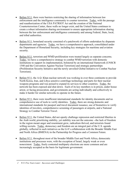- Before  $9/11$ , there were barriers restricting the sharing of information between law enforcement and the intelligence community to counter terrorism. Today, with the passage and reauthorization of the USA PATRIOT Act and the creation of the National Counterterrorism Center, these walls no longer exist, and the United States continues to create a robust information sharing environment to ensure appropriate information sharing between the law enforcement and intelligence community and among Federal, State, local, and tribal authorities.
- Before 9/11, homeland security consisted of a patchwork of efforts undertaken by disparate departments and agencies. Today, we have a comprehensive approach, consolidated under the Department of Homeland Security, including key strategies for maritime and aviation security.
- Before 9/11, terrorism and WMD proliferation were treated largely as separate concerns. Today, we have a comprehensive strategy to combat WMD terrorism with domestic institutions to support its implementation, bolstered by an international framework (UNSCR 1540 and the Convention Against Nuclear Terrorism) and strategic partnerships (Proliferation Security Initiative and the newly unveiled Global Initiative to Combat Nuclear Terrorism).
- Before 9/11, the A.O. Khan nuclear network was working in over three continents to provide North Korea, Iran, and Libya sensitive centrifuge technology and parts for their nuclear weapons programs and was poised to expand its services to other countries. Today, the network has been exposed and shut down. Each of its key members is in prison, under house arrest, or facing prosecution, and governments are acting individually and collectively to make it harder for similar networks to operate in the future.
- Before 9/11, there were insufficient international standards for identity documents and no comprehensive use of tools to verify identities. Today, there are strong domestic and international standards for passport and travel document issuance, use of biometrics to verify identities of travelers, comprehensive screening of passengers at airports, and a National Strategy to Combat Terrorist Travel.
- Before 9/11, the United States, did not openly challenge repression and restricted liberties in the Arab world, prioritizing stability, yet stability was not the outcome --the lack of freedom in the region meant anger and resentment grew, radicalism thrived, and terrorists found willing recruits. Today, democracy and freedom are an integral part of the U.S. agenda globally, reflected in such initiatives as the G-8's collaboration with the Broader Middle East and North Africa (BMENA) in the Partnership for Progress and a Common Future.
- Before 9/11, throughout most of the broader Middle East and North Africa, democratic institutions and processes were, with the exception of Israel, largely weak or even nonexistent. Today, freely contested multiparty elections are more common and are increasingly accepted as the basis for legitimate government.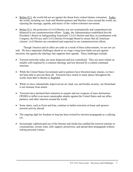- Before  $9/11$ , the world did not act against the threat from violent Islamic extremism. Today, the world, including our Arab and Muslim partners and Muslim voices around the world, are rejecting the message, agenda, and tactics of the violent extremist movement.
- Before 9/11, the protection of civil liberties was not systematically and comprehensively balanced in our counterterrorism efforts. Today, the Administration established first the President's Board on Safeguarding Americans' Civil Liberties and then, in coordination with Congress, the Privacy and Civil Liberties Oversight Board to ensure that all American citizens' civil liberties are considered and respected in our counterterrorism efforts.

Though America and its allies are safer as a result of these achievements, we are not yet safe. We have important challenges ahead as we wage a long-term battle not just against terrorists, but against the ideology that supports their agenda. These challenges include:

- Terrorist networks today are more dispersed and less centralized. They are more reliant on smaller cells inspired by a common ideology and less directed by a central command structure.
- While the United States Government and its partners have thwarted many attacks, we have not been able to prevent them all. Terrorists have struck in many places throughout the world, from Bali to Beslan to Baghdad.
- While we have substantially improved our air, land, sea, and border security, our Homeland is not immune from attack.
- Terrorists have declared their intention to acquire and use weapons of mass destruction (WMD) to inflict even more catastrophic attacks against the United States and our allies, partners, and other interests around the world.
- Some states, such as Syria and Iran, continue to harbor terrorists at home and sponsor terrorist activity abroad.
- The ongoing fight for freedom in Iraq has been twisted by terrorist propaganda as a rallying cry.
- Increasingly sophisticated use of the Internet and media has enabled the terrorist enemies to communicate, recruit, train, rally support, proselytize, and spread their propaganda without risking personal contact.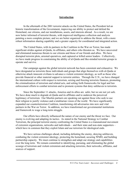#### **Introduction**

 In the aftermath of the 2001 terrorist attacks on the United States, the President led an historic transformation of the Government, improving our ability to protect and defend the Homeland, our citizens, and our installations, assets, and interests abroad. As a result, we are now better informed of terrorist threats, with improved intelligence collection and analysis painting a more complete picture; and we are better organized to address the threat, with a more robust information sharing capability and a greater capacity for coordinated and integrated action.

 The United States, with its partners in the Coalition in the War on Terror, has made significant strides against al-Qaida, its affiliates, and others who threaten us. We have uncovered and eliminated numerous threats to our citizens and those of our friends and allies. We have disrupted terrorist plots, arrested operatives, and captured or killed senior leaders. Collectively, we have made progress in constraining the ability of al-Qaida and like-minded terrorist groups to operate and survive.

 Our campaign against the global terrorist network has been consistent and exhaustive. We have designated as terrorists those individuals and groups that align themselves with al-Qaida or otherwise attack innocent civilians to advance a violent extremist ideology, as well as those who provide financial or other material support to terrorist entities. Through the U.N., we have changed the international culture with respect to terrorism, seizing and freezing terrorists finances, promoting the criminalization of terrorism and related acts, and setting forth frameworks for legal and law enforcement efforts to combat terrorism and to promote systems that deny safehaven to terrorists.

 Since the September 11 attacks, America and its allies are safer, but we are not yet safe. We have done much to degrade al-Qaida and its affiliates and to undercut the perceived legitimacy of terrorism. Our Muslim partners are speaking out against those who seek to use their religion to justify violence and a totalitarian vision of the world. We have significantly expanded our counterterrorism Coalition, transforming old adversaries into new and vital partners in the War on Terror. In addition, we have transformed our governmental institutions and framework to wage a long-term struggle.

 Our efforts have directly influenced the nature of our enemy and the threat we face. Our enemy is evolving and adapting its tactics. As stated in the National Strategy to Combat Terrorism, the principal terrorist enemy confronting the United States is a transnational movement of extremist organizations, networks and individuals – and their state and non-state supporters – which have in common that they exploit Islam and use terrorism for ideological ends.

 We have serious challenges ahead, including defeating the enemy, denying safehaven, combating the violent extremist ideology, protecting the homeland, securing WMD, and building partnership capacity. We must continue to strengthen and adapt our strategy and capabilities over the long term. We remain committed to identifying, pursuing, and eliminating the global scourge of terrorism and violent extremism and attacking terrorists, their networks, affiliates, and sources of support.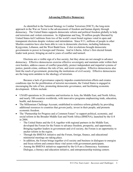#### **Advancing Effective Democracy**

 As identified in the National Strategy to Combat Terrorism (NSCT), the long-term approach in the War on Terror is the advancement of freedom and human dignity through democracy. The United States supports democratic reform and political freedom globally to help end terrorism and violent extremism. In Afghanistan and Iraq, 50 million people liberated by United States-led Coalitions from two of the world's most brutal regimes voted in open and transparent elections despite violence and intimidation. Since 9/11, millions of people in other Muslim countries have also been able to vote in democratic elections, including Indonesia, Kyrgyzstan, Lebanon, and the West Bank/Gaza. Color revolutions brought democratic governments to power in Georgia and Ukraine. And in Liberia, Africa's first elected female leader took power, bringing an end to years of conflict and turmoil.

 Elections are a visible sign of a free society, but they alone are not enough to advance democracy. Effective democracies exercise effective sovereignty and maintain order within their own borders, address causes of conflict peacefully, protect independent and impartial systems of justice, punish crime, embrace the rule of law, and resist corruption. Effective democracies also limit the reach of government, protecting the institutions of civil society. Effective democracies are the long-term antidote to the ideology of terrorism.

 Because a lack of governance capacity impedes counterterrorism efforts and creates conditions ripe for the proliferation of terrorist movements, the United States is engaged in encouraging the rule of law, promoting democratic governance, and facilitating economic development. Efforts include:

- USAID operations in 26 countries and territories in Asia, the Middle East, and North Africa, and nearly 100 countries worldwide, with innovative programs emphasizing trade, education, health, and democracy.
- The Millennium Challenge Account, established to reinforce reform globally by providing additional resources to countries that govern justly, invest in their people, and promote economic freedom.
- The "Partnership for Progress and a Common Future" to support political, economic, and social reform in the Broader Middle East and North Africa (BMENA), launched by the G-8 in 2004.
	- The United States and the G-8, together with regional partners in the Middle East, developed the Forum for the Future to advance freedom, prosperity, and opportunity. Bringing together leaders in government and civil society, the Forum is an opportunity to anchor reform in the region.
	- Through the BMENA initiative and the Forum, foreign, finance, and educational ministerial meetings are taking place.
	- In addition, the Forum brings together civil society and business in dialogues to energize and focus reform and connect these vital actors with government participants.
	- Among the BMENA initiatives supported by the G-8 are a Democracy Assistance Dialogue, a literacy and education initiative, and entrepreneurship training centers.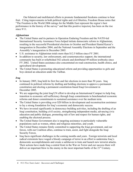Our bilateral and multilateral efforts to promote fundamental freedoms continue to bear fruit. Citing improvements in both political rights and civil liberties, Freedom House notes that "The Freedom in the World 2006 ratings for the Middle East represent the region's best performance in the history of the survey" and that this positive trajectory has been on the rise since  $9/11$ .

# *Afghanistan*

- The United States and its partners in Operation Enduring Freedom and the NATO-led International Security Assistance Force helped initiate democratic reform in Afghanistan, resulting in the successful Presidential elections in October and President Hamid Karzai's inauguration in December 2004, and the National Assembly Elections in September and the Assembly's inauguration in December 2005.
- U.S. assistance to Afghanistan totals more than \$12.5 billion since FY 2001.
- In addition to security, law enforcement, and counternarcotics support, the international community has built or refurbished 542 schools and distributed 49 million textbooks since FY 2002. United States assistance also concentrated on road construction, health clinics, and agricultural development.
- The United States is promoting educational reform and providing opportunities to girls and boys denied an education under the Taliban.

## *Iraq*

- In January 2005, Iraq held its first free and fair elections in more than 50 years. Iraq continued its political reforms by drafting and holding elections to approve a permanent constitution and electing a permanent constitution-based Iraqi Government in December 2005.
- We are supporting the joint Iraq/UN effort to develop an International Compact to help Iraq transition to economic self-sufficiency through Iraqi commitments to benchmarked economic reforms and donor commitments to sustained assistance over the medium term.
- The United States is providing over \$20 billion in development and reconstruction assistance to lay a strong foundation for Iraq's economic and democratic success.
- We have invested significantly in democracy-building activities, including the drafting of an Iraqi constitution, building civil society, strengthening independent media, advancing civic education and public dialogue, promoting rule of law and respect for human rights, and enabling the electoral process.
- The United States Government also is targeting assistance to particularly vulnerable populations such as women, ethnic and religious minorities, and youth.
- The United States remains firmly committed to supporting the Iraqi government, and our forces, with our Coalition allies, continue to train, assist, and fight alongside the Iraqi Security Forces.
- Iraq faces significant challenges in the coming months and years. Foreign terrorists and local radical extremists have waged a bloody campaign of terror in an effort to undermine Iraq's democratic accomplishments and create a safehaven to train and launch new terrorist attacks. Their actions have made Iraq a central front in the War on Terror and our success there will deliver an important blow to the enemy in the most important battle of the  $21<sup>st</sup>$  Century.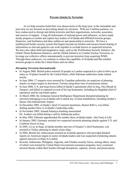## **Prevent Attacks by Terrorists**

 As we help societies build their own democracies in the long term, in the immediate and near term we are focused on preventing attacks by terrorists. With our Coalition partners, we have endeavored to disrupt and defeat terrorists and their organizations, networks, associates, and sources of support. Using all instruments of national power and influence, we have made steady progress to isolate and capture key leaders of al-Qaida and affiliated terrorist groups, financiers, and facilitators and deny safehaven and sponsorship to terrorists. We have a multilayered border security system that begins beyond our borders and ensures broad sharing of information so relevant agencies can work together to exclude known or suspected terrorists. We have also taken bold and imaginative steps, such as the Proliferation Security Initiative, the Global Threat Reduction Initiative, and the Global Initiative to Combat Nuclear Terrorism, to leverage our collective efforts internationally to prevent terrorists from acquiring WMD. Through these endeavors, we continue to reduce the capability of al-Qaida and like-minded terrorist groups to strike the United States and our allies.

#### *Disrupting Terrorism Internationally*

- In August 2006, British police arrested 24 people in London suspected in a plot to blow up as many as 10 planes bound for the United States, while Pakistani authorities made related arrests.
- In June 2006, 17 suspects were arrested by Canadian authorities on suspicion of planning attacks on major targets in downtown Toronto using three tons of ammonium nitrate.
- In June 2006, U.S. and Iraqi forces killed al-Qaida's operational chief in Iraq, Abu Musab al-Zarqawi, and killed or captured several of his top lieutenants, including his Baghdad chief of operations and his top bomb-maker.
- In March 2006, the Jordanian General Intelligence Department disrupted planning by terrorists belonging to an al-Qaida cell to attack key civilian installations, including Jordan's Queen Alia International Airport.
- In December 2005, al-Qaida's chief of external operations, Hamza Rabi'a, was killed, dealing another blow to al-Qaida's leadership ranks.
- In November 2005, Jemaah Islamiya bombing mastermind Dr. Azahari was killed during a raid by Indonesian police.
- In May 2005, Pakistan apprehended the number three al-Qaida leader, Abu Faraj al Libi.
- In January 2005, Germany arrested two suspected terrorists planning attacks against U.S. and Coalition forces in Iraq.
- In 2005, Lu'ay al-Saqa, al-Qaida member and one of Zarqawi's chief lieutenants, was arrested in Turkey planning to attack cruise ships.
- In 2004, British law enforcement arrested an al-Qaida operative who provided detailed reports on American targets to senior al-Qaida leaders and was suspected of planning attacks against innocent civilians in London.
- Kuwaiti, Indonesian, Philippine, Algerian, and Chadian security forces, among others, many of which were trained by United States Government assistance programs, have countered terrorist threats within their borders through disruptions, captures, arrests, and prosecutions.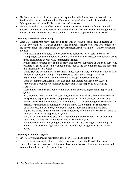- The Saudi security services have pursued, captured, or killed terrorists at a dramatic rate. Saudi Arabia has detained more than 600 operatives, fundraisers, and radical clerics in its fight against terrorism, and killed more than 100 terrorists.
- We are increasing the size of our Special Operations Forces to support foreign internal defense, counterterrorist operations, and unconventional warfare. The overall budget for our Special Operations Forces has increased by 107 percent to support the War on Terror.

## *Disrupting Terrorism Domestically*

- Since 9/11, significant convictions include Zacarias Moussaoui, for his role in helping al-Qaida carry out the 9/11 attacks, and the "shoe bomber" Richard Reid, who was sentenced to life imprisonment for attempting to destroy American Airlines Flight 63. Other convictions include:
	- Hemant Lakhani, convicted in New Jersey and sentenced to 47 years in prison for attempting to sell an antiaircraft missile to a man he believed represented a terrorist group intent on shooting down a U.S. commercial airliner;
	- Iyman Faris, convicted in Virginia of providing material support to al-Qaida by surveying possible targets to attack in the United States, such as the Brooklyn Bridge, and reporting this information to al-Qaida;
	- Lynne Stewart, Mohammed Yousry, and Ahmed Abdel Sattar, convicted in New York on charges in connection with passing messages to the Islamic Group, a terrorist organization, from Sheik Abdel Rahman, the Group's imprisoned leader;
	- Sheik Mohammed Ali Hasan al Moayad and Mohammed Moshen Yahya Zayed, convicted in Brooklyn of conspiracy to provide material support to al-Qaida and HAMAS;
	- Mohammed Junaid Babar, convicted in New York of providing material support to al-Qaida;
	- Five brothers, Ihsan, Hazim, Ghassan, Bayan and Basman Elashi, convicted in Dallas of conspiring to export proscribed computer equipment to state sponsors of terrorism;
	- Ahmad Omar Abu Ali, convicted in Washington, D.C., for providing material support to terrorist organizations in connection with the May 2005 bombings in Saudi Arabia;
	- Uzair Paracha, in New York, convicted of identity document fraud and violating regulations issued under the International Emergency Economic Powers Act by acting as a conduit for material support to al-Qaida;
	- Six U.S. citizens in Buffalo pled guilty to providing material support to al-Qaida and admitted to training in al-Qaida-run camps in Afghanistan; and
	- Six defendants in Portland, Oregon, pled guilty to charges relating to their attempt to travel to Afghanistan to fight with the Taliban and al-Qaida against U.S. and allied troops.

## *Disrupting Financial Support*

- Several key financiers and facilitators have been isolated and captured.
- Over 400 individuals and entities have been designated under the President's Executive Order 13224 by the Secretaries of State and Treasury, effectively blocking their assets and isolating them from the U.S. financial system.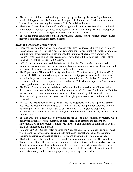- The Secretary of State also has designated 42 groups as Foreign Terrorist Organizations, making it illegal to provide them material support, blocking travel of their members to the United States, and freezing their assets in U.S. financial institutions.
- The United States, through the Office of Hostage Affairs in Embassy Baghdad, is addressing the scourge of kidnapping in Iraq, a key source of terrorist financing. Through interagency and international efforts, hostages have been freed and/or rescued.
- The United States continues to build partner nation capacity to further disrupt threat finance networks in international monetary systems.

# *Securing Borders and Transportation*

- Since the President took office, border security funding has increased more than 66 percent. In particular, the U.S. is in the process of equipping the Border Patrol with better technology, building new infrastructure, and has expanded the number of agents from about 9,000 to 12,000. By the end of 2008, the President will have doubled the size of the Border Patrol since he took office to over 18,000 agents.
- In 2005, the President approved the National Strategy for Maritime Security and eight supporting plans to emphasize the security of the maritime domain as a global issue and build on current efforts and existing strategies, tools, and resources.
- The Department of Homeland Security established the Container Security Initiative (CSI). Under CSI, DHS has entered into agreements with foreign governments and businesses to allow for the pre-screening of cargo containers bound for the U.S. Today, 78 percent of the containers that enter U.S. seaports are screened under CSI, which is in place in 26 countries, covering 44 major international seaports.
- The United States has accelerated the use of new technologies and is installing radiation detectors and other state-of-the-art scanning equipment in U.S. ports. By the end of 2006, 80 percent of all containers entering our seaports will be scanned by high-tech radiation detectors, and by the end of next year virtually all (98 percent) seaport containers will be screened.
- In 2003, the Department of Energy established the Megaports Initiative to provide partner countries the capability to scan cargo containers transiting their ports for evidence of illicit trafficking in nuclear and other radiological materials. The Megaports program is operational in six major international ports, and implementation is under way in an additional fourteen ports.
- The Department of Energy has greatly expanded the Second Line of Defense program, which deploys radiation detection equipment at border crossings, airports and feeder ports. Implementation of the program is under way in Russia and a number of countries in Central and Eastern Europe and Eurasia.
- In March 2006, the United States released the National Strategy to Combat Terrorist Travel, which identifies key areas for enhancing domestic and international capacity, including securing documents, advance screening efforts, and expanding information sharing.
- The United States also established the United States Visitor and Immigrant Status Indicator Technology (US-VISIT), an integrated, automated entry-exit system that records arrival and departure, verifies identities, and authenticates foreigners' travel documents by comparing biometric identifiers. US-VISIT is currently deployed at 115 airports, 14 seaports, and 154 land ports of entry, and is executing a pilot program to capture departures.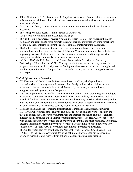- All applications for U.S. visas are checked against extensive databases with terrorism-related information and all international air and sea passengers are vetted against our consolidated terrorist watchlist.
- As of October 2005, all Visa Waiver Program countries are required to have biometric passports.
- The Transportation Security Administration (TSA) screens 100 percent of commercial air passengers and bags.
- TSA is directing Registered Traveler program providers to collect ten fingerprint images from each applicant and to store biometric data for identity confirmations using smart card technology that conforms to current Federal Technical Implementation Guidance.
- The United States Government also is unveiling new comprehensive screening and credentialing initiatives, such as the Real ID Act and Western Hemisphere Travel Initiative, improving access to lost and stolen travel document information, and the e-passport to strengthen our ability to identify those crossing our borders.
- In March 2005, the U.S., Mexico, and Canada launched the Security and Prosperity Partnership of North America (SPP). Through this initiative, we are making measurable progress on a number of security issues affecting our three countries and have strengthened relationships in the areas of preparedness, law enforcement, and the screening of travelers and cargo.

## *Critical Infrastructure Protection*

- DHS has released the National Infrastructure Protection Plan, which provides a comprehensive risk management framework that clearly defines critical infrastructure protection roles and responsibilities for all levels of government, private industry, nongovernmental agencies, and tribal partners.
- DHS has implemented the Buffer Zone Protection Program, which provides grant funding to protect and secure areas surrounding critical infrastructure and key resource sites such as chemical facilities, dams, and nuclear plants across the country. DHS worked in conjunction with local law enforcement authorities throughout the Nation to submit more than 1400 plans on grant allocations for enhanced security around critical infrastructure.
- DHS has established the Homeland Infrastructure Threat and Risk Assessment Center (HITRAC), where intelligence analysts and infrastructure specialists work to identify the threat to critical infrastructures, vulnerabilities and interdependencies, and the overall risk inherent in any potential attack against critical infrastructure. The HITRAC works closely with critical infrastructure owners and operators to ensure that the most complete, actionable, accurate information regarding private sector assets is disseminated expeditiously to key stakeholders. The HITRAC also provides recommended protective measures.
- The United States also has established the National Cyber Response Coordination Group (NCRCG) as the Federal Government's principal interagency mechanism to coordinate efforts to respond to and recover from cyber incidents of national significance.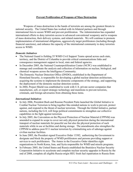## **Prevent Proliferation of Weapons of Mass Destruction**

 Weapons of mass destruction in the hands of terrorists are among the greatest threats to national security. The United States has worked with its bilateral partners and through international fora to secure WMD and prevent proliferation. The Administration has expanded international efforts to deny terrorists access to advanced conventional weaponry and to weapons of mass destruction, their delivery systems, and related materials. We will continue to promote implementation of international obligations, aggressively target proliferators (including through financial sanctions), and enhance the capacity of the international community to deny terrorists access to WMD.

#### *Domestic Initiatives*

- The National Guard is fielding 55 WMD Civil Support Teams spread across each state, territory, and the District of Columbia to provide critical communications links and consequence management support to local, state and federal agencies.
- In December 2005, the National Counterproliferation Center (NCPC) was established to manage and coordinate the analysis and collection of information on nuclear, biological, and chemical weapons across the Intelligence Community.
- The Domestic Nuclear Detection Office (DNDO), established in the Department of Homeland Security, is responsible for developing a global nuclear detection architecture, acquiring the systems to implement the domestic components of the strategy, and supporting the deployment of the domestic nuclear detection system.
- In 2004, Project Shield was established to work with U.S. private sector companies that manufacture, sell, or export strategic technology and munitions to prevent terrorists, criminals, and foreign adversaries from obtaining these items.

## *International Initiatives*

- In July 2006, President Bush and Russian President Putin launched the Global Initiative to Combat Nuclear Terrorism to bring together like-minded nations to work to prevent, protect against, and respond to the threat of nuclear terrorism. Through the Global Initiative, partner nations, including the G-8, will forge political commitments to strengthen our collective capabilities in the fight against terrorism.
- In July 2005, the Convention on the Physical Protection of Nuclear Material (CPPNM) was amended to expand its scope to cover not only physical protection during the international transport of nuclear materials for peaceful use but also the physical protection of such materials while in use at facilities and during storage. The amendments also strengthen the CPPNM to address post-9/11 nuclear terrorism by criminalizing acts of sabotage against civilian nuclear facilities.
- In June 2005, the President signed Executive Order 13382, authorizing the Government to designate and block the property of WMD proliferators and persons providing support or services to such proliferators. The Annex to the Executive Order identifies eight organizations in North Korea, Iran, and Syria responsible for WMD and missile programs.
- In February 2005, the United States and Russia established the Bratislava Nuclear Security Cooperation Initiative to accelerate and complete nuclear security upgrades in Russia by the end of 2008, complete all eligible Russia-origin HEU fresh fuel repatriation to Russia from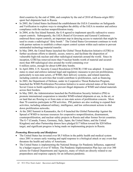third countries by the end of 2006, and complete by the end of 2010 all Russia-origin HEU spent fuel shipments back to Russia.

- In 2005, the United States facilitated the establishment the IAEA Committee on Safeguards and Verification to explore ways to strengthen the ability of the IAEA to monitor and enforce compliance with the nuclear nonproliferation treaty.
- In 2004, at the Sea Island Summit, the G-8 agreed to implement specific radioactive source export controls. Subsequently, the IAEA Board of Governors and General Conference endorsed these export controls, an important step in denying access to materials that might be used to create a radiological "dirty bomb." The United States Government continues to work with partner nations to establish a robust export control system within each nation to prevent unintended technology/material transfer.
- In May 2004, the United States launched the Global Threat Reduction Initiative (GTRI) to further accelerate efforts to identify, secure, remove, and facilitate the disposition of vulnerable high-risk nuclear and other radiological materials around the world. Since its inception, GTRI has removed more than 9 nuclear bombs worth of material and secured more than 400 radiological sites around the world containing over 6 million curies, enough for about 6,000 dirty bombs.
- In April 2004, U.N. Security Council Resolution (UNSCR) 1540 was adopted. It requires states to enact and enforce national legal and regulatory measures to prevent proliferation, particularly to non-state actors, of WMD, their delivery systems, and related materials, including controls on activities that would contribute to proliferation, such as financing.
- In 2003, the Department of Defense, under its Cooperative Threat Reduction Program, launched the WMD Proliferation Prevention Initiative to assist selected states of the former Soviet Union to build capabilities to prevent illegal shipments of WMD and related materials across their borders.
- In May 2003, the Administration launched the Proliferation Security Initiative (PSI) to promote international cooperation to interdict WMD-related shipments at sea, in the air, or on land that are flowing to or from state or non-state actors of proliferation concern. More than 70 countries participate in PSI activities. PSI partners are also working to expand their activities, including enhanced military, intelligence, and law enforcement actions to shut down proliferation networks.
- At the 2002 Summit in Kananaskis, the G-8 launched the Global Partnership Against the Spread of WMD to increase resources for cooperative nonproliferation, disarmament, counterproliferation, and nuclear safety projects in Russia and other former Soviet countries. The G-7 (Canada, France, Germany, Italy, Japan, the United States, and the United Kingdom) and other Partnership donors have pledged \$17 billion toward the \$20 billion target, and significant progress is being made on implementing projects in Russia.

# *Promoting Biosecurity and Biodefense*

- The United States has invested over \$8.5 billion in the public health and medical system since 2001 to ensure early warning and rapid response to a biological attack or any event that threatens the health and safety of Americans.
- The United States is implementing the National Strategy for Pandemic Influenza, supported by a budget request of over \$7 billion. The Pandemic Implementation Plan lays out over 300 actions for Federal Departments and Agencies, many of which are directly related to our preparedness and response capacity for an influenza pandemic.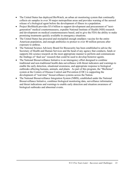- The United States has deployed BioWatch, an urban air monitoring system that continually collects air samples in over 30 major metropolitan areas and provides warning of the aerosol release of a biological agent before the development of illness in a population.
- Project BioShield provides \$5.6 billion to support development and procurement of "nextgeneration" medical countermeasures, expedite National Institute of Health (NIH) research and development on medical countermeasures based, and to give the FDA the ability to make promising treatments quickly available in emergency situations.
- The United States has procured and stockpiled enough smallpox vaccine for the entire American population, and enough antibiotics to protect to over 40 million persons after exposure to anthrax.
- The National Science Advisory Board for Biosecurity has been established to advise the Secretary of Health and Human Services and the head of any agency that conducts, funds or supports life science research on the most appropriate manner to perform and communicate the findings of "dual use" research that could be used to develop bioterror agents.
- The National Biosurveillance Initiative is an interagency effort designed to combine traditional and non-traditional health data surveillance with threat indicators and warnings to enable the early detection, situational awareness, and appropriate response to biological outbreaks affecting humans, animals, and plants. As part of this program, the "BioSense" system at the Centers of Disease Control and Prevention (CDC) is supporting the development of "real-time" biosurveillance systems across the Nation.
- The National Biosurveillance Integration System (NBIS), established under the National Biosurveillance Initiative, combines biological monitoring data, surveillance information, and threat indications and warnings to enable early detection and situation awareness of biological outbreaks and abnormal events.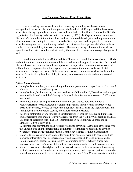#### **Deny Sanctuary/Support From Rogue States**

 Our expanding international Coalition is seeking to build a global environment inhospitable to terrorism. In countries spanning the Middle East, Europe, and Southeast Asia, terrorists are being captured and their networks dismantled. At the United Nations, the G-8, the Organization for Security and Cooperation in Europe (OSCE), the Organization of American States (OAS), and other international fora, we have promoted the adoption and implementation of resolutions condemning terrorism, advanced efforts to prevent and suppress terrorism and terror financing, and increased training and other assistance to build partner states' capacity to combat terrorism and deny terrorists safehaven. There is a growing call around the world to reject the violent extremism that seeks to justify the use of terrorism as an ideological or political tool.

 In addition to attacking al-Qaida and its affiliates, the United States has advanced efforts in the international community to deny safehaven and material support to terrorists. The United States will continue to insist that all state sponsors end support and sanctuary to terrorists. We will continue to implement sanctions against, and promote international isolation of, state sponsors until changes are made. At the same time, we will continue to work with allies in the War on Terror to strengthen their ability to destroy safehavens in remote and undergoverned territories.

#### *Efforts Internationally*

- In Afghanistan and Iraq, we are working to build the governments' capacities to take control of captured terrorists and insurgents.
- In Afghanistan, National Army has improved its capability, with 26,600 trained and equipped personnel in its ranks, and the Ministry of Interior Police force now possesses 57,800 trained personnel.
- The United States has helped create the Yemeni Coast Guard, bolstered Yemen's counterterrorism forces, executed development programs in remote and underdeveloped areas of the country, worked to reduce the illicit flow of small arms and light weapons, and strengthened Yemeni border security and export control measures.
- Intensive diplomatic efforts resulted in substantial policy changes in Libya and improved counterterrorism cooperation. Libya was removed from the Not Fully Cooperating and State Sponsors of Terrorism lists. The U.S. Interest Section in Tripoli was upgraded to an Embassy. Libya is party to all

12 international conventions and protocols relating to terrorism. Libya also is working with the United States and the international community to eliminate its programs to develop weapons of mass destruction and Missile Technology Control Regime-class missiles.

- Sudan is taking renewed steps to deter terrorists from operating within its borders and has increased information sharing internationally and strengthened its legal instruments for fighting terrorism. Because of its progress in combating terrorist activity, Sudan was removed from this year's list of states not fully cooperating with U.S. anti-terrorism efforts.
- With U.S. assistance, the Afghan In the Horn of Africa and in the absence of a functioning central government in Somalia, we are cooperating closely with regional partners to interdict arms flows and monitor terrorist activities through the East Africa Counterterrorism Initiative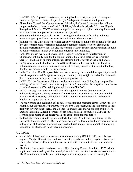(EACTI). EACTI provides assistance, including border security and police training, to Comoros, Djibouti, Eritrea, Ethiopia, Kenya, Madagascar, Tanzania, and Uganda.

- Through the Trans-Sahel Counterterrorism Initiative, the United States provides military support and other assistance to Chad, Mali, Niger, Mauritania, Algeria, Morocco, Nigeria, Senegal, and Tunisia. TSCTI enhances cooperation among the region's security forces and promotes democratic governance and economic growth.
- Bilaterally with Europe, we aid the Turkish struggle to shut down financing and other material support provided to the terrorist Kurdistan Workers Party (PKK).
- In Indonesia, the United States provides capacity-building training to the national police and law enforcement counterterrorism personnel to reinforce efforts to detect, disrupt, and dismantle terrorist networks. We also are working with the Indonesian Government to build its counterterrorism finance detection and enforcement capabilities.
- In the Philippines, we helped create Light Reaction Companies to fight terrorists in Mindanao, continually train the Philippine National Police and other law enforcement agencies, and have an ongoing interagency effort to fight terrorists on the island of Jolo.
- In Afghanistan and Colombia, the United States has expanded cooperation with its law enforcement and military counterparts on narcoterrorism, especially attacking the funding that the drug trade generates for insurgencies.
- In the Three Plus One Group on Tri-border Area Security, the United States participates with Brazil, Argentina, and Paraguay to strengthen their capacity to fight cross-border crime and thwart money laundering and terrorist fundraising activities.
- In FY 2005, the Department of State's Antiterrorism Assistance (ATA) Program provided training and technical assistance to participants from 78 countries. Seventy-five countries are scheduled to receive ATA training through the end of FY 2006.
- In 2005, through the Department of Defense's Regional Defense Counterterrorism Fellowship Program, security personnel from 93 countries participated in events to build counterterrorism capacity, strengthen the global counterterrorism network, and counter ideological support for terrorism.
- We are working on a regional basis to address existing and emerging terror safehavens. For example, our Embassies are partnered with Malaysia, Indonesia, and the Philippines as they deal with terrorist transit across the Celebes (Sulawesi) Sea; and we are supporting efforts among Mauritania, Algeria, Morocco, Niger, Chad, and Mali to counter a GSPC enemy recruiting and hiding in the desert which sits astride their national borders.
- To facilitate regional counterterrorism efforts, the State Department is implementing the Regional Strategic Initiative (RSI), a program designed to develop flexible regional networks in key terrorist theaters of operation to assess the threat and devise collaborative strategies, actionable initiatives, and policy recommendations.

# *U.N. Efforts*

- With UNSCR 1267, and its successor resolutions including UNSCR 1617, the U.N. has required Member States to impose travel restrictions and arms embargo against Osama bin Laden, the Taliban, al-Qaida, and those associated with them and to freeze their financial assets.
- The United States drafted and cosponsored U.N. Security Council Resolution 1373, which requires all States to deny safehaven and prevent the movement of terrorists across borders. The Resolution also mandates all States to prevent and suppress terrorist financing by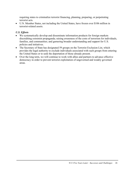requiring states to criminalize terrorist financing, planning, preparing, or perpetrating terrorist acts.

• U.N. Member States, not including the United States, have frozen over \$106 million in terrorist-related assets.

# *U.S. Efforts*

- We systematically develop and disseminate information products for foreign markets discrediting extremist propaganda; raising awareness of the costs of terrorism for individuals, families, and communities; and garnering broader understanding and support for U.S. policies and initiatives.
- The Secretary of State has designated 59 groups on the Terrorist Exclusion List, which provides the legal authority to exclude individuals associated with such groups from entering the United States or to seek the deportation of those already present.
- Over the long term, we will continue to work with allies and partners to advance effective democracy in order to prevent terrorist exploitation of ungoverned and weakly governed areas.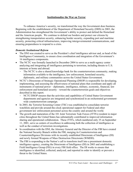## **Institutionalize the War on Terror**

 To enhance America's security, we transformed the way the Government does business. Beginning with the establishment of the Department of Homeland Security (DHS) in 2003, the Administration has strengthened the Government's ability to protect and defend the Homeland and the American people. We continue to defend our borders and protect our citizens by strengthening transportation security, enhancing border security, expanding port and maritime security, protecting critical infrastructures, improving intergovernmental communications, and ensuring preparedness to respond to a crisis.

#### *Domestic Institutional Reform*

- The DNI was created to serve as the President's chief intelligence advisor and, as head of the Intelligence Community, to ensure close coordination and integration of the Government's 16 intelligence components.
- The NCTC was formally launched in December 2004 to serve as a multi-agency center analyzing and integrating all intelligence pertaining to terrorism, including threats to U.S. interests at home and abroad.
	- The NCTC is also a shared knowledge bank for the counterterrorism community, making information available to the intelligence, law enforcement, homeland security, diplomatic, and military communities across the United States Government.
- NCTC's Directorate of Strategic Operational Planning (DSOP) is responsible for developing, implementing, and assessing the effectiveness of national plans that coordinate and apply all instruments of national power – diplomatic, intelligence, military, economic, financial, law enforcement and homeland security – toward the counterterrorism goals and objectives described in this report.
	- NCTC/DSOP ensures that the activities and capabilities of United States Government departments and agencies are integrated and synchronized in an orchestrated governmentwide counterterrorism campaign.
- In 2003, the Terrorist Screening Center (TSC) was established to consolidate terrorist watchlists and provide around-the-clock operational support for Federal and other government law enforcement personnel across the country and around the world.
- The growth and maturation of the 101 Joint Terrorism Task Forces (JTTFs) resident in major cities throughout the United States has substantially contributed to improved information sharing and operational collaboration. These JTTFs, which numbered only 35 on September 11, 2001, serve as centers of excellence in addressing both the collection of intelligence as well as the conduct of terrorism investigations.
- In coordination with the DNI, the Attorney General and the Director of the FBI have created the National Security Branch within the FBI, merging its Counterterrorism and Counterintelligence Divisions with its recently established Directorate of Intelligence (DI) and newly formed Weapons of Mass Destruction Directorate (WMDD).
- The FBI is responding to the Nation's call to transform itself into a preeminent domestic intelligence agency, creating the Directorate of Intelligence (DI) in 2003 and establishing a Field Intelligence Group (FIG) in every FBI field office. The DI works to ensure that intelligence is identified, collected, analyzed, and reported in order to identify or prevent a threat to the United States.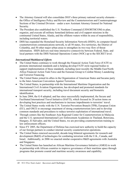- The Attorney General will also consolidate DOJ's three primary national security elements the Office of Intelligence Policy and Review and the Counterterrorism and Counterespionage Sections of the Criminal Division – under a new Assistant Attorney General for National Security.
- The President also established the U.S. Northern Command (USNORTHCOM) to plan, organize, and execute all military homeland defense and civil support missions in the continental United States, Alaska, and the offshore waters within its area of responsibility, including territorial waters.
- DHS has expanded the Homeland Security Information Network (HSIN), its computer-based counterterrorism communications network, to all 50 states, five territories, the District of Columbia, and 50 other major urban areas to strengthen its two-way flow of threat information. HSIN delivers real-time interactive connectivity between Federal, State, and local partners with the DHS National Operations Center (NOC) up to the SECRET level.

# *International/Multilateral Efforts*

- The United States continues to work through the Financial Action Task Force (FATF) to promote international standards and is helping develop FATF-style regional bodies to support implementation of these standards, including most recently the Middle East/North Africa Financial Action Task Force and the Eurasian Group to Combat Money Laundering and Terrorist Financing.
- The United States joined its allies in the Organization of American States and became party to the Inter-American Convention Against Terrorism.
- The United States, in partnership with the International Maritime Organization and the International Civil Aviation Organization, has developed and promoted standards for international transport security, including travel document security and biometric identification.
- In June 2004, the G-8 adopted, and has since successfully implemented, the Secure and Facilitated International Travel Initiative (SAFTI), which focused its 28 action items on developing best practices and mechanisms to increase impediments to terrorists' travel.
- The United States works with the U.N. Terrorist Prevention Branch (TPB), European Union (EU), and OSCE to encourage enactment of strong counterterrorism laws and to develop common standards and procedures to reduce terrorist exploitation of international travel.
- Through centers like the Southeast Asia Regional Center for Counterterrorism in Malaysia and the U.S.-sponsored International Law Enforcement Academies in Thailand, Botswana, Hungary, El Salvador, and the United States, we are providing counterterrorism training to law enforcement officers.
- Since FY 2005, the Department of Defense has exercised new authority to build the capacity of our foreign partners to conduct internal security counterterrorist operations.
- The United States renewed successful, decade-long bilateral agreements for research and development (R&D) of technologies for combating terrorism with the U.K., Canada, and Israel. Additionally, in 2006 we enacted similar cooperative R&D agreements with Australia and Singapore.
- The United States has launched an African Maritime Governance Initiative (AMGI) to work in partnership with African countries to improve governance of their maritime space through programs that promote coastal and maritime security awareness and capability.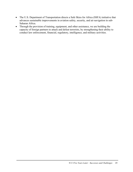- The U.S. Department of Transportation directs a Safe Skies for Africa (SSFA) initiative that advances sustainable improvements in aviation safety, security, and air navigation in sub-Saharan Africa.
- Through the provision of training, equipment, and other assistance, we are building the capacity of foreign partners to attack and defeat terrorists, by strengthening their ability to conduct law enforcement, financial, regulatory, intelligence, and military activities.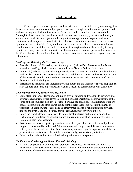## **Challenges Ahead**

We are engaged in a war against a violent extremist movement driven by an ideology that threatens the basic aspirations of all people everywhere. Though our international partners and we have made great strides in this War on Terror, the challenges before us are formidable. Although its leaders and their safehavens and resources are increasingly isolated and besieged, al-Qaida and its affiliates and groups adhering to its ideology continue to plan attacks and continue to seek weapons of mass destruction. Unlike conventional enemies, terrorists do not fight on a defined battlefield. They are found throughout the world, even in countries that are friendly to us. We must therefore help other states to strengthen their will and ability to bring the fight to the enemy. We must continue to use all instruments of national power and influence in the War on Terror: diplomatic, information, military, economic, financial, intelligence, and law enforcement.

#### *Challenges to Defeating the Terrorist Enemy*

- Terrorists' increased dispersion, use of nonphysical ("virtual") safehavens, and informal operational and logistical coordination complicate efforts to find and defeat them.
- In Iraq, al-Qaida and associated foreign terrorists have made clear that their goal is to build a Taliban-like state and then expand their battle to neighboring states. In the near future, some of these terrorists could return to their home countries, exacerbating domestic conflicts or fomenting radical ideologies.
- Terrorists and insurgents are increasingly using media and the Internet to spread propaganda, rally support, and share experiences, as well as a means to communicate with each other.

## *Challenges to Denying Support and Safehaven*

- Some state sponsors of terrorism continue to provide funding and weapons to terrorists and offer safehavens from which terrorists plan and conduct operations. Most worrisome is that some of these countries also have developed or have the capability to manufacture weapons of mass destruction and other destabilizing technologies that could fall into the hands of terrorists. In addition, ungoverned and undergoverned spaces, often on frontiers between nations and overlaying failed states, provide safehavens that terrorists exploit.
- Iran is the world's leading state provider of political, material, and financial support to Hizballah and Palestinian rejectionist groups and remains unwilling to hand over senior al-Qaida members for prosecution.
- Syria allows various groups to operate from its soil. It provides both material and political support to Lebanese Hizballah and Palestinian terrorist groups. North Korea's cooperation with Syria in the missile and other WMD areas may enhance Syria's expertise and ability to provide similar assistance, deliberately or inadvertently, to terrorist organizations.
- Cuba continues the actions that led to its designation as a state sponsor.

## *Challenges to Combating the Violent Extremist Ideology*

• Al-Qaida propagandists continue to exploit local grievances to create the sense that the Muslim world is aggrieved and disrespected. A key challenge remains understanding the motivations of those who join or support terrorist networks, as well as the incentives and